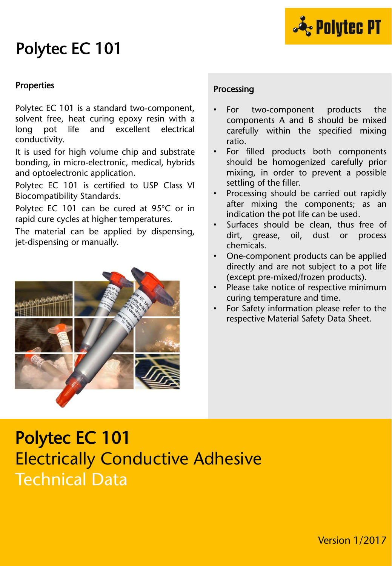

### Polytec EC 101

#### Properties

Polytec EC 101 is a standard two-component, solvent free, heat curing epoxy resin with a long pot life and excellent electrical conductivity.

It is used for high volume chip and substrate bonding, in micro-electronic, medical, hybrids and optoelectronic application.

Polytec EC 101 is certified to USP Class VI Biocompatibility Standards.

Polytec EC 101 can be cured at 95°C or in rapid cure cycles at higher temperatures.

The material can be applied by dispensing, jet-dispensing or manually.



#### Processing

- For two-component products the components A and B should be mixed carefully within the specified mixing ratio.
- For filled products both components should be homogenized carefully prior mixing, in order to prevent a possible settling of the filler.
- Processing should be carried out rapidly after mixing the components; as an indication the pot life can be used.
- Surfaces should be clean, thus free of dirt, grease, oil, dust or process chemicals.
- One-component products can be applied directly and are not subject to a pot life (except pre-mixed/frozen products).
- Please take notice of respective minimum curing temperature and time.
- For Safety information please refer to the respective Material Safety Data Sheet.

### Polytec EC 101 Electrically Conductive Adhesive Technical Data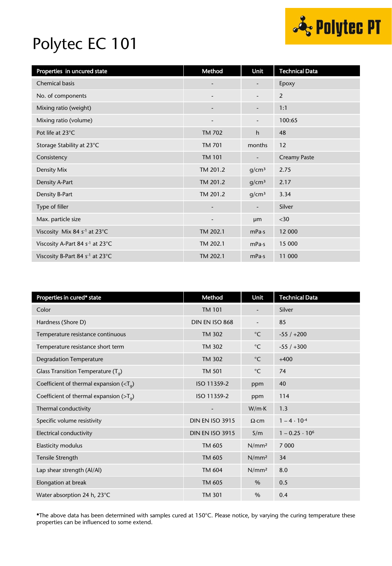

## Polytec EC 101

| Properties in uncured state                 | Method                   | <b>Unit</b>              | <b>Technical Data</b> |
|---------------------------------------------|--------------------------|--------------------------|-----------------------|
| Chemical basis                              |                          | -                        | Epoxy                 |
| No. of components                           |                          | $\overline{\phantom{0}}$ | 2                     |
| Mixing ratio (weight)                       |                          | $\overline{\phantom{a}}$ | 1:1                   |
| Mixing ratio (volume)                       |                          |                          | 100:65                |
| Pot life at 23°C                            | <b>TM 702</b>            | h                        | 48                    |
| Storage Stability at 23°C                   | <b>TM 701</b>            | months                   | 12                    |
| Consistency                                 | <b>TM 101</b>            | -                        | <b>Creamy Paste</b>   |
| Density Mix                                 | TM 201.2                 | g/cm <sup>3</sup>        | 2.75                  |
| Density A-Part                              | TM 201.2                 | g/cm <sup>3</sup>        | 2.17                  |
| Density B-Part                              | TM 201.2                 | g/cm <sup>3</sup>        | 3.34                  |
| Type of filler                              | $\overline{\phantom{a}}$ | -                        | Silver                |
| Max. particle size                          | $\overline{\phantom{a}}$ | µm                       | $30$                  |
| Viscosity Mix 84 s <sup>-1</sup> at 23°C    | TM 202.1                 | mPa·s                    | 12 000                |
| Viscosity A-Part 84 s <sup>-1</sup> at 23°C | TM 202.1                 | mPa·s                    | 15 000                |
| Viscosity B-Part 84 s <sup>-1</sup> at 23°C | TM 202.1                 | mPa·s                    | 11 000                |

| Properties in cured* state                                 | Method                 | Unit                     | <b>Technical Data</b> |
|------------------------------------------------------------|------------------------|--------------------------|-----------------------|
| Color                                                      | <b>TM 101</b>          | $\overline{\phantom{a}}$ | Silver                |
| Hardness (Shore D)                                         | DIN EN ISO 868         |                          | 85                    |
| Temperature resistance continuous                          | <b>TM 302</b>          | $^{\circ}$ C             | $-55/+200$            |
| Temperature resistance short term                          | <b>TM 302</b>          | $^{\circ}$ C             | $-55/+300$            |
| <b>Degradation Temperature</b>                             | <b>TM 302</b>          | $^{\circ}$ C             | $+400$                |
| Glass Transition Temperature $(T_q)$                       | <b>TM 501</b>          | $^{\circ}$ C             | 74                    |
| Coefficient of thermal expansion ( $\langle T_{q} \rangle$ | ISO 11359-2            | ppm                      | 40                    |
| Coefficient of thermal expansion ( $>Ta$ )                 | ISO 11359-2            | ppm                      | 114                   |
| Thermal conductivity                                       | -                      | $W/m \cdot K$            | 1.3                   |
| Specific volume resistivity                                | <b>DIN EN ISO 3915</b> | $\Omega$ ·cm             | $1 - 4 \cdot 10^{-4}$ |
| Electrical conductivity                                    | <b>DIN EN ISO 3915</b> | S/m                      | $1 - 0.25 \cdot 10^6$ |
| <b>Elasticity modulus</b>                                  | TM 605                 | N/mm <sup>2</sup>        | 7 0 0 0               |
| Tensile Strength                                           | TM 605                 | N/mm <sup>2</sup>        | 34                    |
| Lap shear strength (Al/Al)                                 | TM 604                 | N/mm <sup>2</sup>        | 8.0                   |
| Elongation at break                                        | TM 605                 | $\%$                     | 0.5                   |
| Water absorption 24 h, 23°C                                | <b>TM 301</b>          | %                        | 0.4                   |

\*The above data has been determined with samples cured at 150°C. Please notice, by varying the curing temperature these properties can be influenced to some extend.